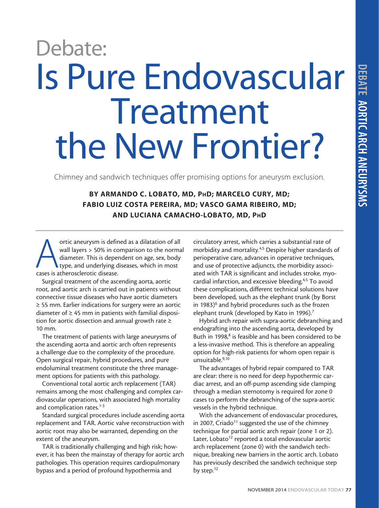## Is Pure Endovascular Treatment the New Frontier? Debate:

Chimney and sandwich techniques offer promising options for aneurysm exclusion.

BY ARMANDO C. LOBATO, MD, PhD; MARCELO CURY, MD; FABIO LUIZ COSTA PEREIRA, MD; VASCO GAMA RIBEIRO, MD; AND LUCIANA CAMACHO-LOBATO, MD, PhD

ortic aneurysm is defined as a dilatation of all<br>wall layers > 50% in comparison to the norma<br>diameter. This is dependent on age, sex, body<br>type, and underlying diseases, which in most<br>cases is atherosclerotic disease. wall layers > 50% in comparison to the normal diameter. This is dependent on age, sex, body type, and underlying diseases, which in most cases is atherosclerotic disease.

Surgical treatment of the ascending aorta, aortic root, and aortic arch is carried out in patients without connective tissue diseases who have aortic diameters ≥ 55 mm. Earlier indications for surgery were an aortic diameter of  $\geq 45$  mm in patients with familial disposition for aortic dissection and annual growth rate ≥ 10 mm.

The treatment of patients with large aneurysms of the ascending aorta and aortic arch often represents a challenge due to the complexity of the procedure. Open surgical repair, hybrid procedures, and pure endoluminal treatment constitute the three management options for patients with this pathology.

Conventional total aortic arch replacement (TAR) remains among the most challenging and complex cardiovascular operations, with associated high mortality and complication rates.<sup>1-3</sup>

Standard surgical procedures include ascending aorta replacement and TAR. Aortic valve reconstruction with aortic root may also be warranted, depending on the extent of the aneurysm.

TAR is traditionally challenging and high risk; however, it has been the mainstay of therapy for aortic arch pathologies. This operation requires cardiopulmonary bypass and a period of profound hypothermia and

circulatory arrest, which carries a substantial rate of morbidity and mortality.<sup>4,5</sup> Despite higher standards of perioperative care, advances in operative techniques, and use of protective adjuncts, the morbidity associated with TAR is significant and includes stroke, myocardial infarction, and excessive bleeding.<sup>4,5</sup> To avoid these complications, different technical solutions have been developed, such as the elephant trunk (by Borst in 1983)<sup>6</sup> and hybrid procedures such as the frozen elephant trunk (developed by Kato in 1996).<sup>7</sup>

Hybrid arch repair with supra-aortic debranching and endografting into the ascending aorta, developed by Buth in 1998,<sup>8</sup> is feasible and has been considered to be a less-invasive method. This is therefore an appealing option for high-risk patients for whom open repair is unsuitable.<sup>9,10</sup>

The advantages of hybrid repair compared to TAR are clear: there is no need for deep hypothermic cardiac arrest, and an off-pump ascending side clamping through a median sternotomy is required for zone 0 cases to perform the debranching of the supra-aortic vessels in the hybrid technique.

With the advancement of endovascular procedures, in 2007, Criado<sup>11</sup> suggested the use of the chimney technique for partial aortic arch repair (zone 1 or 2). Later, Lobato<sup>12</sup> reported a total endovascular aortic arch replacement (zone 0) with the sandwich technique, breaking new barriers in the aortic arch. Lobato has previously described the sandwich technique step by step.<sup>12</sup>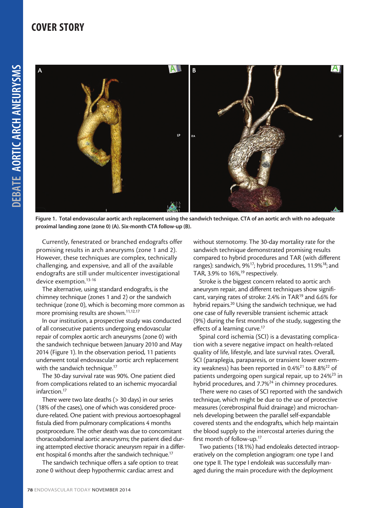

Figure 1. Total endovascular aortic arch replacement using the sandwich technique. CTA of an aortic arch with no adequate proximal landing zone (zone 0) (A). Six-month CTA follow-up (B).

Currently, fenestrated or branched endografts offer promising results in arch aneurysms (zone 1 and 2). However, these techniques are complex, technically challenging, and expensive, and all of the available endografts are still under multicenter investigational device exemption.<sup>13-16</sup>

The alternative, using standard endografts, is the chimney technique (zones 1 and 2) or the sandwich technique (zone 0), which is becoming more common as more promising results are shown.<sup>11,12,17</sup>

In our institution, a prospective study was conducted of all consecutive patients undergoing endovascular repair of complex aortic arch aneurysms (zone 0) with the sandwich technique between January 2010 and May 2014 (Figure 1). In the observation period, 11 patients underwent total endovascular aortic arch replacement with the sandwich technique.<sup>17</sup>

The 30-day survival rate was 90%. One patient died from complications related to an ischemic myocardial infarction.17

There were two late deaths (> 30 days) in our series (18% of the cases), one of which was considered procedure-related. One patient with previous aortoesophageal fistula died from pulmonary complications 4 months postprocedure. The other death was due to concomitant thoracoabdominal aortic aneurysms; the patient died during attempted elective thoracic aneurysm repair in a different hospital 6 months after the sandwich technique.<sup>17</sup>

The sandwich technique offers a safe option to treat zone 0 without deep hypothermic cardiac arrest and

without sternotomy. The 30-day mortality rate for the sandwich technique demonstrated promising results compared to hybrid procedures and TAR (with different ranges): sandwich, 9%<sup>17</sup>; hybrid procedures, 11.9%<sup>18</sup>; and TAR, 3.9% to  $16\%$ ,<sup>19</sup> respectively.

Stroke is the biggest concern related to aortic arch aneurysm repair, and different techniques show significant, varying rates of stroke: 2.4% in TAR<sup>19</sup> and 6.6% for hybrid repairs.<sup>20</sup> Using the sandwich technique, we had one case of fully reversible transient ischemic attack (9%) during the first months of the study, suggesting the effects of a learning curve.<sup>17</sup>

Spinal cord ischemia (SCI) is a devastating complication with a severe negative impact on health-related quality of life, lifestyle, and late survival rates. Overall, SCI (paraplegia, paraparesis, or transient lower extremity weakness) has been reported in  $0.4\%^{21}$  to  $8.8\%^{22}$  of patients undergoing open surgical repair, up to 24%<sup>23</sup> in hybrid procedures, and 7.7%<sup>24</sup> in chimney procedures.

There were no cases of SCI reported with the sandwich technique, which might be due to the use of protective measures (cerebrospinal fluid drainage) and microchannels developing between the parallel self-expandable covered stents and the endografts, which help maintain the blood supply to the intercostal arteries during the first month of follow-up.17

Two patients (18.1%) had endoleaks detected intraoperatively on the completion angiogram: one type I and one type II. The type I endoleak was successfully managed during the main procedure with the deployment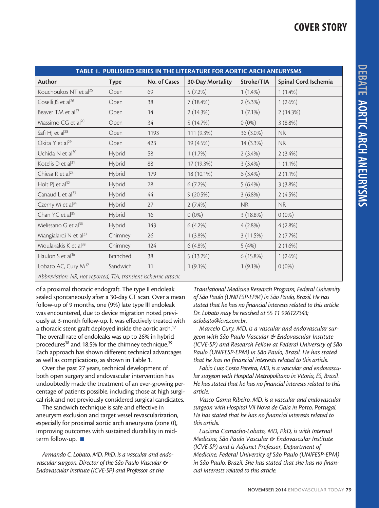| TABLE 1. PUBLISHED SERIES IN THE LITERATURE FOR AORTIC ARCH ANEURYSMS |             |              |                  |            |                      |
|-----------------------------------------------------------------------|-------------|--------------|------------------|------------|----------------------|
| Author                                                                | <b>Type</b> | No. of Cases | 30-Day Mortality | Stroke/TIA | Spinal Cord Ischemia |
| Kouchoukos NT et al <sup>25</sup>                                     | Open        | 69           | 5(7.2%)          | $1(1.4\%)$ | $1(1.4\%)$           |
| Coselli JS et al <sup>26</sup>                                        | Open        | 38           | 7(18.4%)         | 2(5.3%)    | $1(2.6\%)$           |
| Beaver TM et al <sup>27</sup>                                         | Open        | 14           | 2(14.3%)         | $1(7.1\%)$ | 2(14.3%)             |
| Massimo CG et al <sup>20</sup>                                        | Open        | 34           | 5(14.7%)         | $0(0\%)$   | 3(8.8%)              |
| Safi HJ et al <sup>28</sup>                                           | Open        | 1193         | 111 (9.3%)       | 36 (3.0%)  | NR                   |
| Okita Y et al <sup>29</sup>                                           | Open        | 423          | 19 (4.5%)        | 14 (3.3%)  | <b>NR</b>            |
| Uchida N et al <sup>30</sup>                                          | Hybrid      | 58           | 1(1.7%)          | $2(3.4\%)$ | $2(3.4\%)$           |
| Kotelis D et al <sup>31</sup>                                         | Hybrid      | 88           | 17 (19.3%)       | $3(3.4\%)$ | $1(1.1\%)$           |
| Chiesa R et al <sup>23</sup>                                          | Hybrid      | 179          | 18 (10.1%)       | $6(3.4\%)$ | $2(1.1\%)$           |
| Holt PJ et $al^{32}$                                                  | Hybrid      | 78           | 6(7.7%)          | $5(6.4\%)$ | 3(3.8%)              |
| Canaud L et al <sup>33</sup>                                          | Hybrid      | 44           | 9(20.5%)         | $3(6.8\%)$ | 2(4.5%)              |
| Czerny M et al <sup>34</sup>                                          | Hybrid      | 27           | $2(7.4\%)$       | <b>NR</b>  | <b>NR</b>            |
| Chan YC et al <sup>35</sup>                                           | Hybrid      | 16           | $0(0\%)$         | 3(18.8%)   | $0(0\%)$             |
| Melissano G et al <sup>36</sup>                                       | Hybrid      | 143          | 6(4.2%)          | 4(2.8%)    | 4(2.8%)              |
| Mangialardi N et al <sup>37</sup>                                     | Chimney     | 26           | $1(3.8\%)$       | 3(11.5%)   | 2(7.7%)              |
| Moulakakis K et al <sup>38</sup>                                      | Chimney     | 124          | $6(4.8\%)$       | 5(4%)      | $2(1.6\%)$           |
| Haulon S et al <sup>16</sup>                                          | Branched    | 38           | 5(13.2%)         | 6(15.8%)   | 1(2.6%)              |
| Lobato AC, Cury M <sup>17</sup>                                       | Sandwich    | 11           | $1(9.1\%)$       | $1(9.1\%)$ | $0(0\%)$             |
| Abbreviation: NR, not reported; TIA, transient ischemic attack.       |             |              |                  |            |                      |

of a proximal thoracic endograft. The type II endoleak sealed spontaneously after a 30-day CT scan. Over a mean follow-up of 9 months, one (9%) late type III endoleak was encountered, due to device migration noted previously at 3-month follow-up. It was effectively treated with a thoracic stent graft deployed inside the aortic arch.<sup>17</sup> The overall rate of endoleaks was up to 26% in hybrid procedures<sup>38</sup> and 18.5% for the chimney technique.<sup>39</sup> Each approach has shown different technical advantages as well as complications, as shown in Table 1.

Over the past 27 years, technical development of both open surgery and endovascular intervention has undoubtedly made the treatment of an ever-growing percentage of patients possible, including those at high surgical risk and not previously considered surgical candidates.

The sandwich technique is safe and effective in aneurysm exclusion and target vessel revascularization, especially for proximal aortic arch aneurysms (zone 0), improving outcomes with sustained durability in midterm follow-up.  $\blacksquare$ 

*Armando C. Lobato, MD, PhD, is a vascular and endovascular surgeon, Director of the São Paulo Vascular & Endovascular Institute (ICVE-SP) and Professor at the* 

*Translational Medicine Research Program, Federal University of São Paulo (UNIFESP-EPM) in São Paulo, Brazil. He has stated that he has no financial interests related to this article. Dr. Lobato may be reached at 55 11 996127343; aclobato@icve.com.br.*

*Marcelo Cury, MD, is a vascular and endovascular surgeon with São Paulo Vascular & Endovascular Institute (ICVE-SP) and Research Fellow at Federal University of São Paulo (UNIFESP-EPM) in São Paulo, Brazil. He has stated that he has no financial interests related to this article.* 

*Fabio Luiz Costa Pereira, MD, is a vascular and endovascular surgeon with Hospital Metropolitano in Vitoria, ES, Brazil. He has stated that he has no financial interests related to this article.* 

*Vasco Gama Ribeiro, MD, is a vascular and endovascular surgeon with Hospital Vil Nova de Gaia in Porto, Portugal. He has stated that he has no financial interests related to this article.* 

*Luciana Camacho-Lobato, MD, PhD, is with Internal Medicine, São Paulo Vascular & Endovascular Institute (ICVE-SP) and is Adjunct Professor, Department of Medicine, Federal University of São Paulo (UNIFESP-EPM) in São Paulo, Brazil. She has stated that she has no financial interests related to this article.*